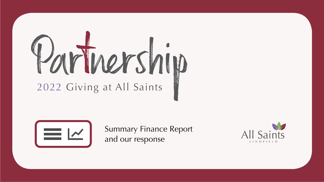# Partinership



Summary Finance Report and our response

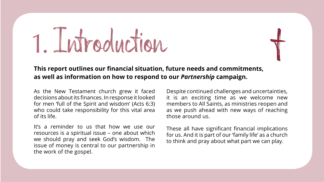### 1. Introduction



### **This report outlines our financial situation, future needs and commitments, as well as information on how to respond to our** *Partnership* **campaign.**

As the New Testament church grew it faced decisions about its finances. In response it looked for men 'full of the Spirit and wisdom' (Acts 6:3) who could take responsibility for this vital area of its life.

It's a reminder to us that how we use our resources is a spiritual issue – one about which we should pray and seek God's wisdom. The issue of money is central to our partnership in the work of the gospel.

Despite continued challenges and uncertainties, it is an exciting time as we welcome new members to All Saints, as ministries reopen and as we push ahead with new ways of reaching those around us.

These all have significant financial implications for us. And it is part of our 'family life' as a church to think and pray about what part we can play.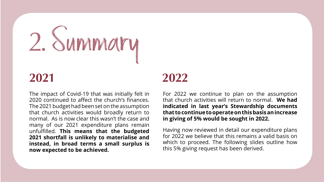## 2.Summary

The impact of Covid-19 that was initially felt in 2020 continued to affect the church's finances. The 2021 budget had been set on the assumption that church activities would broadly return to normal. As is now clear this wasn't the case and many of our 2021 expenditure plans remain unfulfilled. **This means that the budgeted 2021 shortfall is unlikely to materialise and instead, in broad terms a small surplus is now expected to be achieved.**

### **2021 2022**

For 2022 we continue to plan on the assumption that church activities will return to normal. **We had indicated in last year's Stewardship documents that to continue to operate on this basis an increase in giving of 5% would be sought in 2022.**

Having now reviewed in detail our expenditure plans for 2022 we believe that this remains a valid basis on which to proceed. The following slides outline how this 5% giving request has been derived.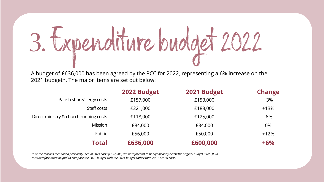### 3.Expenditure budget 2022

A budget of £636,000 has been agreed by the PCC for 2022, representing a 6% increase on the 2021 budget\*. The major items are set out below:

|                                        | 2022 Budget | 2021 Budget | <b>Change</b> |
|----------------------------------------|-------------|-------------|---------------|
| Parish share/clergy costs              | £157,000    | £153,000    | $+3%$         |
| Staff costs                            | £221,000    | £188,000    | $+13%$        |
| Direct ministry & church running costs | £118,000    | £125,000    | $-6%$         |
| Mission                                | £84,000     | £84,000     | 0%            |
| Fabric                                 | £56,000     | £50,000     | $+12%$        |
| Total                                  | £636,000    | £600,000    | $+6%$         |

*\*For the reasons mentioned previously, actual 2021 costs (£557,000) are now forecast to be significantly below the original budget (£600,000). It is therefore more helpful to compare the 2022 budget with the 2021 budget rather than 2021 actual costs.*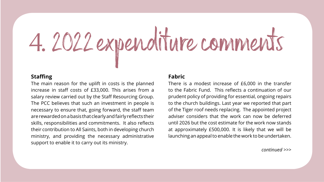## 4. 2022 expenditure comments

### **Staffing**

The main reason for the uplift in costs is the planned increase in staff costs of £33,000. This arises from a salary review carried out by the Staff Resourcing Group. The PCC believes that such an investment in people is necessary to ensure that, going forward, the staff team are rewarded on a basis that clearly and fairly reflects their skills, responsibilities and commitments. It also reflects their contribution to All Saints, both in developing church ministry, and providing the necessary administrative support to enable it to carry out its ministry.

### **Fabric**

There is a modest increase of £6,000 in the transfer to the Fabric Fund. This reflects a continuation of our prudent policy of providing for essential, ongoing repairs to the church buildings. Last year we reported that part of the Tiger roof needs replacing. The appointed project adviser considers that the work can now be deferred until 2026 but the cost estimate for the work now stands at approximately £500,000. It is likely that we will be launching an appeal to enable the work to be undertaken.

*continued >>>*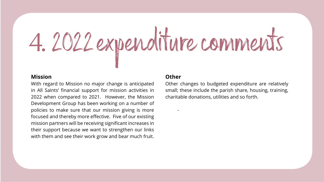## 4. 2022 expenditure comments

### **Mission**

With regard to Mission no major change is anticipated in All Saints' financial support for mission activities in 2022 when compared to 2021. However, the Mission Development Group has been working on a number of policies to make sure that our mission giving is more focused and thereby more effective. Five of our existing mission partners will be receiving significant increases in their support because we want to strengthen our links with them and see their work grow and bear much fruit.

### **Other**

-

Other changes to budgeted expenditure are relatively small; these include the parish share, housing, training, charitable donations, utilities and so forth.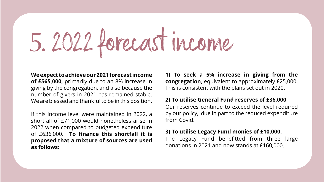### 5. 2022 forecast income

### **We expect to achieve our 2021 forecast income**

**of £565,000,** primarily due to an 8% increase in giving by the congregation, and also because the number of givers in 2021 has remained stable. We are blessed and thankful to be in this position.

If this income level were maintained in 2022, a shortfall of £71,000 would nonetheless arise in 2022 when compared to budgeted expenditure of £636,000. **To finance this shortfall it is proposed that a mixture of sources are used as follows:**

**1) To seek a 5% increase in giving from the congregation,** equivalent to approximately £25,000. This is consistent with the plans set out in 2020.

### **2) To utilise General Fund reserves of £36,000**

Our reserves continue to exceed the level required by our policy, due in part to the reduced expenditure from Covid.

### **3) To utilise Legacy Fund monies of £10,000.**

The Legacy Fund benefitted from three large donations in 2021 and now stands at £160,000.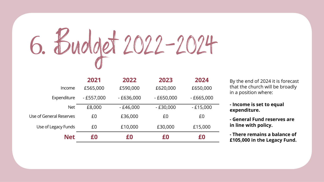

|                         | 2021        | 2022        | 2023        | 2024        |
|-------------------------|-------------|-------------|-------------|-------------|
| Income                  | £565,000    | £590,000    | £620,000    | £650,000    |
| Expenditure             | $-£557,000$ | $-£636,000$ | $-£650,000$ | $-£665,000$ |
| <b>Net</b>              | £8,000      | $-£46,000$  | $-E30,000$  | $-E15,000$  |
| Use of General Reserves | £0          | £36,000     | £0          | £0          |
| Use of Legacy Funds     | £0          | £10,000     | £30,000     | £15,000     |
| <b>Net</b>              | £0          | £0          | £0          | £0          |

By the end of 2024 it is forecast that the church will be broadly in a position where:

**- Income is set to equal expenditure.**

**- General Fund reserves are in line with policy.**

**- There remains a balance of £105,000 in the Legacy Fund.**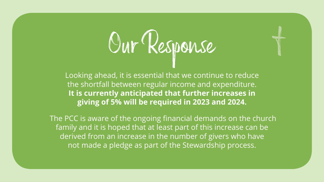### Our Response

the contract of the contract of the contract of the contract of the contract of the contract of the contract of the contract of the contract of the contract of the contract of the contract of the contract of the contract o

Looking ahead, it is essential that we continue to reduce the shortfall between regular income and expenditure. **It is currently anticipated that further increases in giving of 5% will be required in 2023 and 2024.**

 The PCC is aware of the ongoing financial demands on the church family and it is hoped that at least part of this increase can be derived from an increase in the number of givers who have not made a pledge as part of the Stewardship process.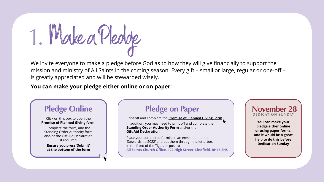Make a Pledge 1.

We invite everyone to make a pledge before God as to how they will give financially to support the mission and ministry of All Saints in the coming season. Every gift – small or large, regular or one-off – is greatly appreciated and will be stewarded wisely.

### **You can make your pledge either online or on paper:**

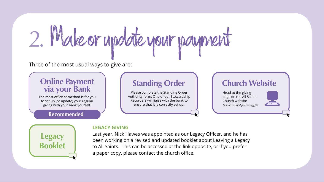### 2. Make or update your payment

Three of the most usual ways to give are:

### **Online Payment<br>via your Bank**

The most efficient method is for you to set up (or update) your regular giving with your bank yourself.

### **Recommended**

### **[Standing Order](https://allsaintslindfield.org/Publisher/File.aspx?id=297833)**

Please complete the Standing Order Authority form. One of our Stewardship Recorders will liaise with the bank to ensure that it is correctly set up.

### **[Church Website](https://allsaintslindfield.churchsuite.com/donate/)**

Head to the giving page on the All Saints Church website *\*incurs a small processing fee*



### **LEGACY GIVING**

Last year, Nick Hawes was appointed as our Legacy Officer, and he has been working on a revised and updated booklet about Leaving a Legacy to All Saints. This can be accessed at the link opposite, or if you prefer a paper copy, please contact the church office.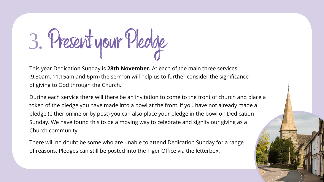3. Present your Pledge

This year Dedication Sunday is **28th November.** At each of the main three services (9.30am, 11.15am and 6pm) the sermon will help us to further consider the significance of giving to God through the Church.

During each service there will there be an invitation to come to the front of church and place a token of the pledge you have made into a bowl at the front. If you have not already made a pledge (either online or by post) you can also place your pledge in the bowl on Dedication Sunday. We have found this to be a moving way to celebrate and signify our giving as a Church community.

There will no doubt be some who are unable to attend Dedication Sunday for a range of reasons. Pledges can still be posted into the Tiger Office via the letterbox.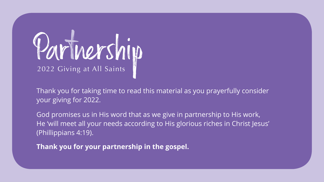## Partinership

Thank you for taking time to read this material as you prayerfully consider your giving for 2022.

God promises us in His word that as we give in partnership to His work, He 'will meet all your needs according to His glorious riches in Christ Jesus' (Phillippians 4:19).

**Thank you for your partnership in the gospel.**